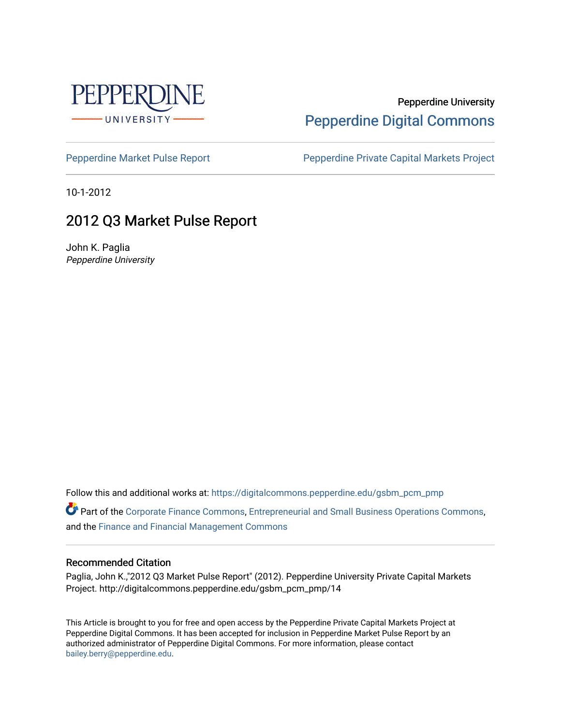

### Pepperdine University [Pepperdine Digital Commons](https://digitalcommons.pepperdine.edu/)

[Pepperdine Market Pulse Report](https://digitalcommons.pepperdine.edu/gsbm_pcm_pmp) Pepperdine Private Capital Markets Project

10-1-2012

## 2012 Q3 Market Pulse Report

John K. Paglia Pepperdine University

Follow this and additional works at: [https://digitalcommons.pepperdine.edu/gsbm\\_pcm\\_pmp](https://digitalcommons.pepperdine.edu/gsbm_pcm_pmp?utm_source=digitalcommons.pepperdine.edu%2Fgsbm_pcm_pmp%2F12&utm_medium=PDF&utm_campaign=PDFCoverPages) 

Part of the [Corporate Finance Commons](http://network.bepress.com/hgg/discipline/629?utm_source=digitalcommons.pepperdine.edu%2Fgsbm_pcm_pmp%2F12&utm_medium=PDF&utm_campaign=PDFCoverPages), [Entrepreneurial and Small Business Operations Commons](http://network.bepress.com/hgg/discipline/630?utm_source=digitalcommons.pepperdine.edu%2Fgsbm_pcm_pmp%2F12&utm_medium=PDF&utm_campaign=PDFCoverPages), and the [Finance and Financial Management Commons](http://network.bepress.com/hgg/discipline/631?utm_source=digitalcommons.pepperdine.edu%2Fgsbm_pcm_pmp%2F12&utm_medium=PDF&utm_campaign=PDFCoverPages) 

#### Recommended Citation

Paglia, John K.,"2012 Q3 Market Pulse Report" (2012). Pepperdine University Private Capital Markets Project. http://digitalcommons.pepperdine.edu/gsbm\_pcm\_pmp/14

This Article is brought to you for free and open access by the Pepperdine Private Capital Markets Project at Pepperdine Digital Commons. It has been accepted for inclusion in Pepperdine Market Pulse Report by an authorized administrator of Pepperdine Digital Commons. For more information, please contact [bailey.berry@pepperdine.edu](mailto:bailey.berry@pepperdine.edu).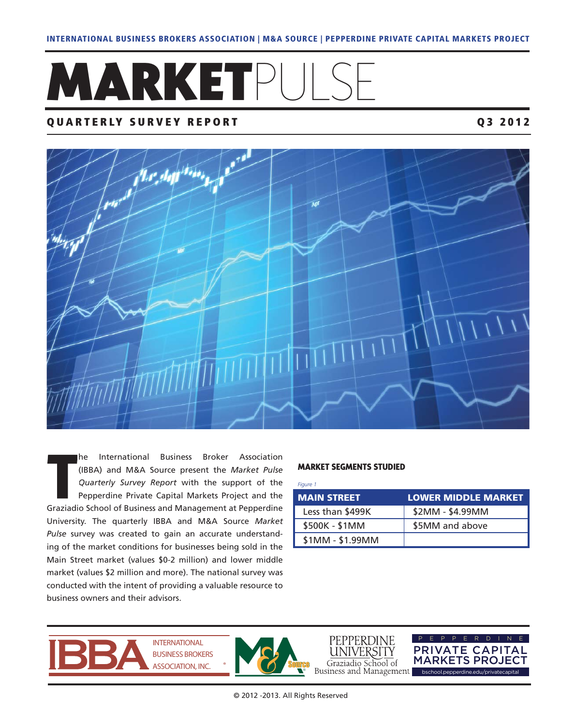# **MARKETPULS**

#### **QUARTERLY SURVEY REPORT Q3 2012**



he International Business Broker Association (IBBA) and M&A Source present the *Market Pulse Quarterly Survey Report* with the support of the Pepperdine Private Capital Markets Project and the Graziadio School of Business and Management at Pepperdine University. The quarterly IBBA and M&A Source *Market Pulse* survey was created to gain an accurate understanding of the market conditions for businesses being sold in the Main Street market (values \$0-2 million) and lower middle market (values \$2 million and more). The national survey was conducted with the intent of providing a valuable resource to business owners and their advisors.

#### **MARKET SEGMENTS STUDIED**

*Figure 1*

| <b>MAIN STREET</b> | <b>LOWER MIDDLE MARKET</b> |
|--------------------|----------------------------|
| Less than \$499K   | \$2MM - \$4.99MM           |
| \$500K - \$1MM     | \$5MM and above            |
| \$1MM - \$1.99MM   |                            |



**INTERNATIONAL BUSINESS BROKERS ASSOCIATION, INC.** 



PEPPERDINE JNIVERSITY Graziadio School of<br>Business and Management

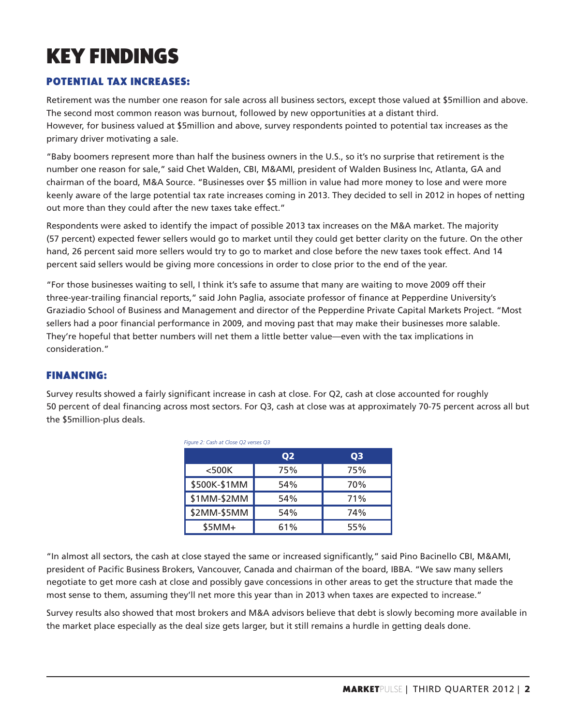# **KEY FINDINGS**

#### **POTENTIAL TAX INCREASES:**

Retirement was the number one reason for sale across all business sectors, except those valued at \$5million and above. The second most common reason was burnout, followed by new opportunities at a distant third. However, for business valued at \$5million and above, survey respondents pointed to potential tax increases as the primary driver motivating a sale.

"Baby boomers represent more than half the business owners in the U.S., so it's no surprise that retirement is the number one reason for sale," said Chet Walden, CBI, M&AMI, president of Walden Business Inc, Atlanta, GA and chairman of the board, M&A Source. "Businesses over \$5 million in value had more money to lose and were more keenly aware of the large potential tax rate increases coming in 2013. They decided to sell in 2012 in hopes of netting out more than they could after the new taxes take effect."

Respondents were asked to identify the impact of possible 2013 tax increases on the M&A market. The majority (57 percent) expected fewer sellers would go to market until they could get better clarity on the future. On the other hand, 26 percent said more sellers would try to go to market and close before the new taxes took effect. And 14 percent said sellers would be giving more concessions in order to close prior to the end of the year.

"For those businesses waiting to sell, I think it's safe to assume that many are waiting to move 2009 off their three-year-trailing financial reports," said John Paglia, associate professor of finance at Pepperdine University's Graziadio School of Business and Management and director of the Pepperdine Private Capital Markets Project. "Most sellers had a poor financial performance in 2009, and moving past that may make their businesses more salable. They're hopeful that better numbers will net them a little better value—even with the tax implications in consideration."

#### **FINANCING:**

Survey results showed a fairly significant increase in cash at close. For Q2, cash at close accounted for roughly 50 percent of deal financing across most sectors. For Q3, cash at close was at approximately 70-75 percent across all but the \$5million-plus deals.

| Figure 2: Cash at Close Q2 verses Q3 |                |     |  |
|--------------------------------------|----------------|-----|--|
|                                      | Q <sub>3</sub> |     |  |
| $<$ 500 $K$                          | 75%            | 75% |  |
| \$500K-\$1MM                         | 54%            | 70% |  |
| \$1MM-\$2MM                          | 54%            | 71% |  |
| \$2MM-\$5MM                          | 54%            | 74% |  |
| $$5MM+$                              | 61%            | 55% |  |

"In almost all sectors, the cash at close stayed the same or increased significantly," said Pino Bacinello CBI, M&AMI, president of Pacific Business Brokers, Vancouver, Canada and chairman of the board, IBBA. "We saw many sellers negotiate to get more cash at close and possibly gave concessions in other areas to get the structure that made the most sense to them, assuming they'll net more this year than in 2013 when taxes are expected to increase."

Survey results also showed that most brokers and M&A advisors believe that debt is slowly becoming more available in the market place especially as the deal size gets larger, but it still remains a hurdle in getting deals done.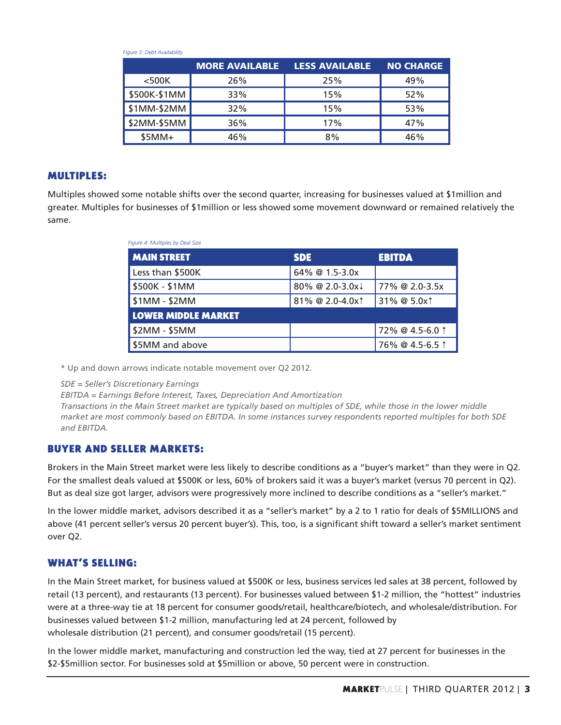| $1.09$ and $2.21$ and $2.00$ and $2.00$ and $2.00$ |                       |                       |                  |
|----------------------------------------------------|-----------------------|-----------------------|------------------|
|                                                    | <b>MORE AVAILABLE</b> | <b>LESS AVAILABLE</b> | <b>NO CHARGE</b> |
| $<$ 500K                                           | 26%                   | 25%                   | 49%              |
| \$500K-\$1MM                                       | 33%                   | 15%                   | 52%              |
| \$1MM-\$2MM                                        | 32%                   | 15%                   | 53%              |
| \$2MM-\$5MM                                        | 36%                   | 17%                   | 47%              |
| $$5MM+$                                            | 46%                   | 8%                    | 46%              |

#### **MULTIPLES:**

Multiples showed some notable shifts over the second quarter, increasing for businesses valued at \$1million and greater. Multiples for businesses of \$1million or less showed some movement downward or remained relatively the same.

| Figure 4: Multiples by Deal Size |                             |                 |  |  |
|----------------------------------|-----------------------------|-----------------|--|--|
| <b>MAIN STREET</b>               | <b>SDE</b>                  | <b>EBITDA</b>   |  |  |
| Less than \$500K                 | 64% @ 1.5-3.0x              |                 |  |  |
| \$500K - \$1MM                   | 80% @ 2.0-3.0x              | 77% @ 2.0-3.5x  |  |  |
| $$1MM - $2MM$                    | 81% @ 2.0-4.0x <sup>†</sup> | 31% @ 5.0x1     |  |  |
| <b>LOWER MIDDLE MARKET</b>       |                             |                 |  |  |
| \$2MM - \$5MM                    |                             | 72% @ 4.5-6.0 1 |  |  |
| \$5MM and above                  |                             | 76% @ 4.5-6.5 1 |  |  |

\* Up and down arrows indicate notable movement over Q2 2012.

*SDE = Seller's Discretionary Earnings* 

*Figure 3: Debt Availability* 

*EBITDA = Earnings Before Interest, Taxes, Depreciation And Amortization* 

*Transactions in the Main Street market are typically based on multiples of SDE, while those in the lower middle market are most commonly based on EBITDA. In some instances survey respondents reported multiples for both SDE and EBITDA.*

#### **BUYER AND SELLER MARKETS:**

Brokers in the Main Street market were less likely to describe conditions as a "buyer's market" than they were in Q2. For the smallest deals valued at \$500K or less, 60% of brokers said it was a buyer's market (versus 70 percent in Q2). But as deal size got larger, advisors were progressively more inclined to describe conditions as a "seller's market."

In the lower middle market, advisors described it as a "seller's market" by a 2 to 1 ratio for deals of \$5MILLIONS and above (41 percent seller's versus 20 percent buyer's). This, too, is a significant shift toward a seller's market sentiment over Q2.

#### **WHAT'S SELLING:**

In the Main Street market, for business valued at \$500K or less, business services led sales at 38 percent, followed by retail (13 percent), and restaurants (13 percent). For businesses valued between \$1-2 million, the "hottest" industries were at a three-way tie at 18 percent for consumer goods/retail, healthcare/biotech, and wholesale/distribution. For businesses valued between \$1-2 million, manufacturing led at 24 percent, followed by wholesale distribution (21 percent), and consumer goods/retail (15 percent).

In the lower middle market, manufacturing and construction led the way, tied at 27 percent for businesses in the \$2-\$5million sector. For businesses sold at \$5million or above, 50 percent were in construction.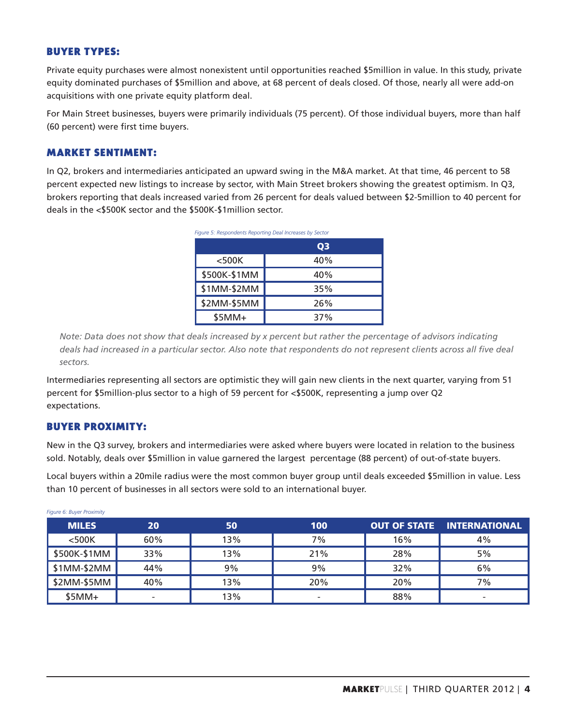#### **BUYER TYPES:**

Private equity purchases were almost nonexistent until opportunities reached \$5million in value. In this study, private equity dominated purchases of \$5million and above, at 68 percent of deals closed. Of those, nearly all were add-on acquisitions with one private equity platform deal.

For Main Street businesses, buyers were primarily individuals (75 percent). Of those individual buyers, more than half (60 percent) were first time buyers.

#### **MARKET SENTIMENT:**

In Q2, brokers and intermediaries anticipated an upward swing in the M&A market. At that time, 46 percent to 58 percent expected new listings to increase by sector, with Main Street brokers showing the greatest optimism. In Q3, brokers reporting that deals increased varied from 26 percent for deals valued between \$2-5million to 40 percent for deals in the <\$500K sector and the \$500K-\$1million sector.

| Figure 5: Respondents Reporting Deal Increases by Sector |     |  |
|----------------------------------------------------------|-----|--|
|                                                          | 03  |  |
| $<$ 500 $K$                                              | 40% |  |
| \$500K-\$1MM                                             | 40% |  |
| \$1MM-\$2MM                                              | 35% |  |
| \$2MM-\$5MM                                              | 26% |  |
| $$5MM+$                                                  | 37% |  |

*Note: Data does not show that deals increased by x percent but rather the percentage of advisors indicating*  deals had increased in a particular sector. Also note that respondents do not represent clients across all five deal *sectors.*

Intermediaries representing all sectors are optimistic they will gain new clients in the next quarter, varying from 51 percent for \$5million-plus sector to a high of 59 percent for <\$500K, representing a jump over Q2 expectations.

#### **BUYER PROXIMITY:**

New in the Q3 survey, brokers and intermediaries were asked where buyers were located in relation to the business sold. Notably, deals over \$5million in value garnered the largest percentage (88 percent) of out-of-state buyers.

Local buyers within a 20mile radius were the most common buyer group until deals exceeded \$5million in value. Less than 10 percent of businesses in all sectors were sold to an international buyer.

| $1.19$ and $0.9$ and $0.9$ and $0.1$ and $0.1$ |     |     |                          |     |                                   |
|------------------------------------------------|-----|-----|--------------------------|-----|-----------------------------------|
| <b>MILES</b>                                   | 20  | 50  | 100                      |     | <b>OUT OF STATE INTERNATIONAL</b> |
| $<$ 500 $K$                                    | 60% | 13% | 7%                       | 16% | 4%                                |
| \$500K-\$1MM                                   | 33% | 13% | 21%                      | 28% | 5%                                |
| \$1MM-\$2MM                                    | 44% | 9%  | 9%                       | 32% | 6%                                |
| \$2MM-\$5MM                                    | 40% | 13% | 20%                      | 20% | 7%                                |
| $$5MM+$                                        | -   | 13% | $\overline{\phantom{0}}$ | 88% | $\overline{\phantom{0}}$          |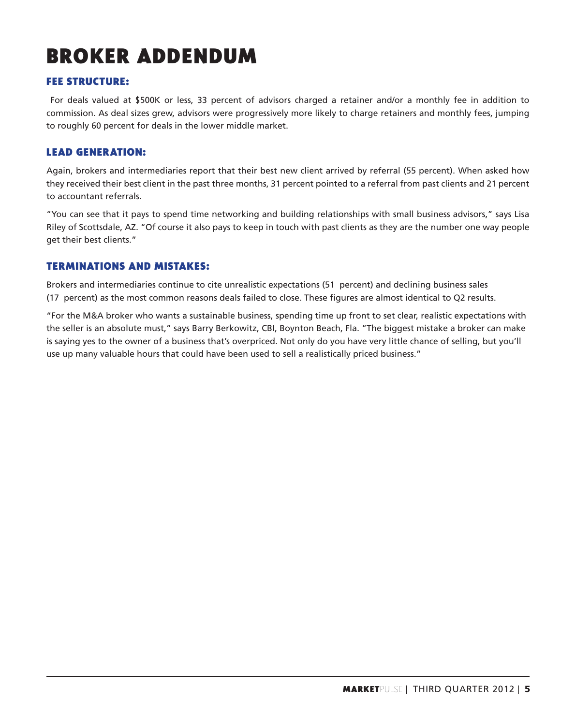# **BROKER ADDENDUM**

#### **FEE STRUCTURE:**

 For deals valued at \$500K or less, 33 percent of advisors charged a retainer and/or a monthly fee in addition to commission. As deal sizes grew, advisors were progressively more likely to charge retainers and monthly fees, jumping to roughly 60 percent for deals in the lower middle market.

#### **LEAD GENERATION:**

Again, brokers and intermediaries report that their best new client arrived by referral (55 percent). When asked how they received their best client in the past three months, 31 percent pointed to a referral from past clients and 21 percent to accountant referrals.

"You can see that it pays to spend time networking and building relationships with small business advisors," says Lisa Riley of Scottsdale, AZ. "Of course it also pays to keep in touch with past clients as they are the number one way people get their best clients."

#### **TERMINATIONS AND MISTAKES:**

Brokers and intermediaries continue to cite unrealistic expectations (51 percent) and declining business sales (17 percent) as the most common reasons deals failed to close. These figures are almost identical to Q2 results.

"For the M&A broker who wants a sustainable business, spending time up front to set clear, realistic expectations with the seller is an absolute must," says Barry Berkowitz, CBI, Boynton Beach, Fla. "The biggest mistake a broker can make is saying yes to the owner of a business that's overpriced. Not only do you have very little chance of selling, but you'll use up many valuable hours that could have been used to sell a realistically priced business."